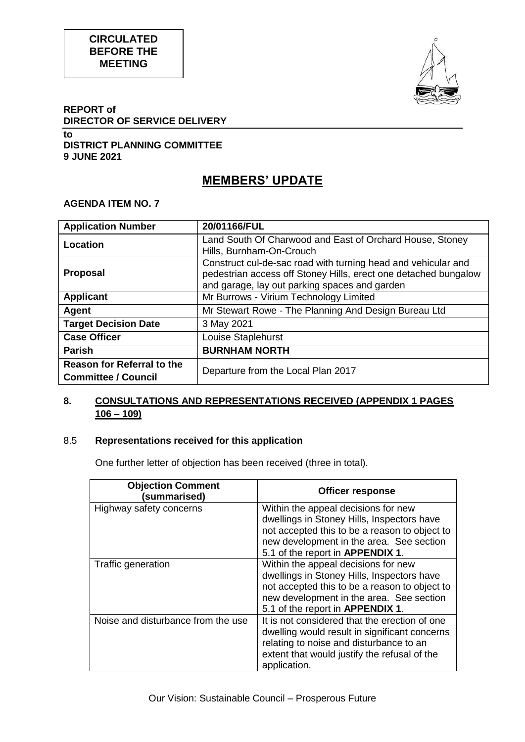

#### **REPORT of DIRECTOR OF SERVICE DELIVERY**

**to DISTRICT PLANNING COMMITTEE 9 JUNE 2021**

# **MEMBERS' UPDATE**

### **AGENDA ITEM NO. 7**

| <b>Application Number</b>                                       | 20/01166/FUL                                                                                                                                                                      |  |
|-----------------------------------------------------------------|-----------------------------------------------------------------------------------------------------------------------------------------------------------------------------------|--|
| Location                                                        | Land South Of Charwood and East of Orchard House, Stoney<br>Hills, Burnham-On-Crouch                                                                                              |  |
| <b>Proposal</b>                                                 | Construct cul-de-sac road with turning head and vehicular and<br>pedestrian access off Stoney Hills, erect one detached bungalow<br>and garage, lay out parking spaces and garden |  |
| <b>Applicant</b>                                                | Mr Burrows - Virium Technology Limited                                                                                                                                            |  |
| Agent                                                           | Mr Stewart Rowe - The Planning And Design Bureau Ltd                                                                                                                              |  |
| <b>Target Decision Date</b>                                     | 3 May 2021                                                                                                                                                                        |  |
| <b>Case Officer</b>                                             | Louise Staplehurst                                                                                                                                                                |  |
| <b>Parish</b>                                                   | <b>BURNHAM NORTH</b>                                                                                                                                                              |  |
| <b>Reason for Referral to the</b><br><b>Committee / Council</b> | Departure from the Local Plan 2017                                                                                                                                                |  |

## **8. CONSULTATIONS AND REPRESENTATIONS RECEIVED (APPENDIX 1 PAGES 106 – 109)**

#### 8.5 **Representations received for this application**

One further letter of objection has been received (three in total).

| <b>Objection Comment</b><br>(summarised) | <b>Officer response</b>                                                                                                                                                                                            |
|------------------------------------------|--------------------------------------------------------------------------------------------------------------------------------------------------------------------------------------------------------------------|
| Highway safety concerns                  | Within the appeal decisions for new<br>dwellings in Stoney Hills, Inspectors have<br>not accepted this to be a reason to object to<br>new development in the area. See section<br>5.1 of the report in APPENDIX 1. |
| Traffic generation                       | Within the appeal decisions for new<br>dwellings in Stoney Hills, Inspectors have<br>not accepted this to be a reason to object to<br>new development in the area. See section<br>5.1 of the report in APPENDIX 1. |
| Noise and disturbance from the use       | It is not considered that the erection of one<br>dwelling would result in significant concerns<br>relating to noise and disturbance to an<br>extent that would justify the refusal of the<br>application.          |